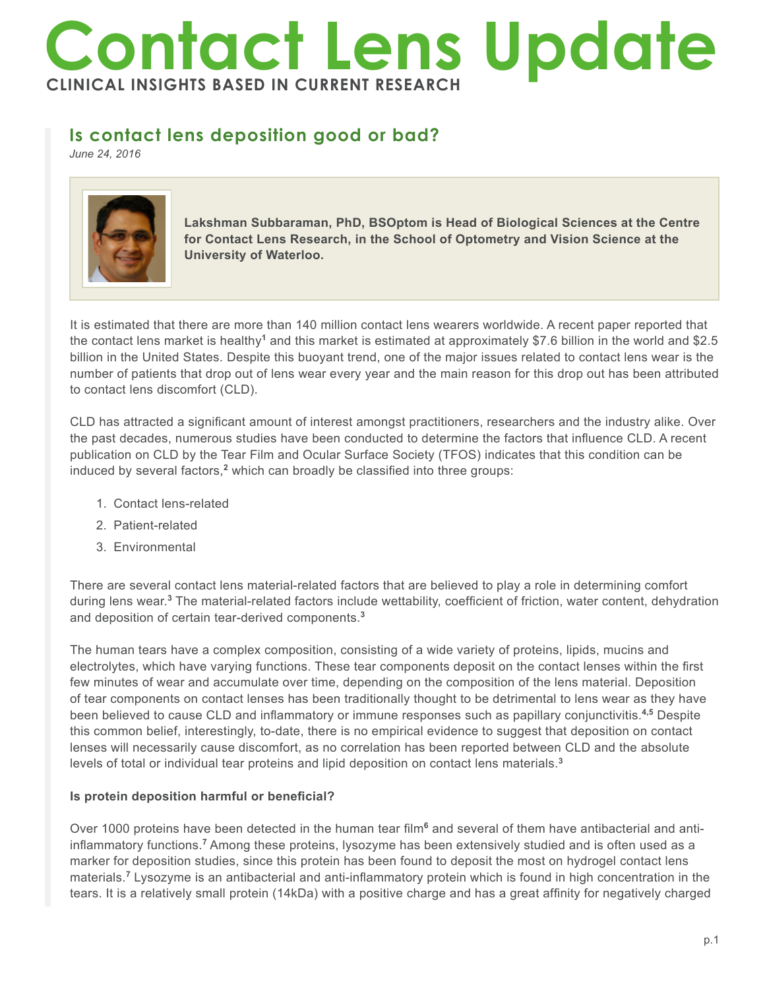# **Contact Lens Update CLINICAL INSIGHTS BASED IN CURRENT RESEARCH**

## **Is contact lens deposition good or bad?**

*June 24, 2016*



**Lakshman Subbaraman, PhD, BSOptom is Head of Biological Sciences at the Centre for Contact Lens Research, in the School of Optometry and Vision Science at the University of Waterloo.** 

It is estimated that there are more than 140 million contact lens wearers worldwide. A recent paper reported that the contact lens market is healthy<sup>1</sup> and this market is estimated at approximately \$7.6 billion in the world and \$2.5 billion in the United States. Despite this buoyant trend, one of the major issues related to contact lens wear is the number of patients that drop out of lens wear every year and the main reason for this drop out has been attributed to contact lens discomfort (CLD).

CLD has attracted a significant amount of interest amongst practitioners, researchers and the industry alike. Over the past decades, numerous studies have been conducted to determine the factors that influence CLD. A recent publication on CLD by the Tear Film and Ocular Surface Society (TFOS) indicates that this condition can be induced by several factors,<sup>2</sup> which can broadly be classified into three groups:

- 1. Contact lens-related
- 2. Patient-related
- 3. Environmental

There are several contact lens material-related factors that are believed to play a role in determining comfort during lens wear.<sup>3</sup> The material-related factors include wettability, coefficient of friction, water content, dehydration and deposition of certain tear-derived components.**<sup>3</sup>**

The human tears have a complex composition, consisting of a wide variety of proteins, lipids, mucins and electrolytes, which have varying functions. These tear components deposit on the contact lenses within the first few minutes of wear and accumulate over time, depending on the composition of the lens material. Deposition of tear components on contact lenses has been traditionally thought to be detrimental to lens wear as they have been believed to cause CLD and inflammatory or immune responses such as papillary conjunctivitis.**4,5** Despite this common belief, interestingly, to-date, there is no empirical evidence to suggest that deposition on contact lenses will necessarily cause discomfort, as no correlation has been reported between CLD and the absolute levels of total or individual tear proteins and lipid deposition on contact lens materials.**<sup>3</sup>**

### **Is protein deposition harmful or beneficial?**

Over 1000 proteins have been detected in the human tear film<sup>6</sup> and several of them have antibacterial and antiinflammatory functions.<sup>7</sup> Among these proteins, lysozyme has been extensively studied and is often used as a marker for deposition studies, since this protein has been found to deposit the most on hydrogel contact lens materials.**<sup>7</sup>** Lysozyme is an antibacterial and anti-inflammatory protein which is found in high concentration in the tears. It is a relatively small protein (14kDa) with a positive charge and has a great affinity for negatively charged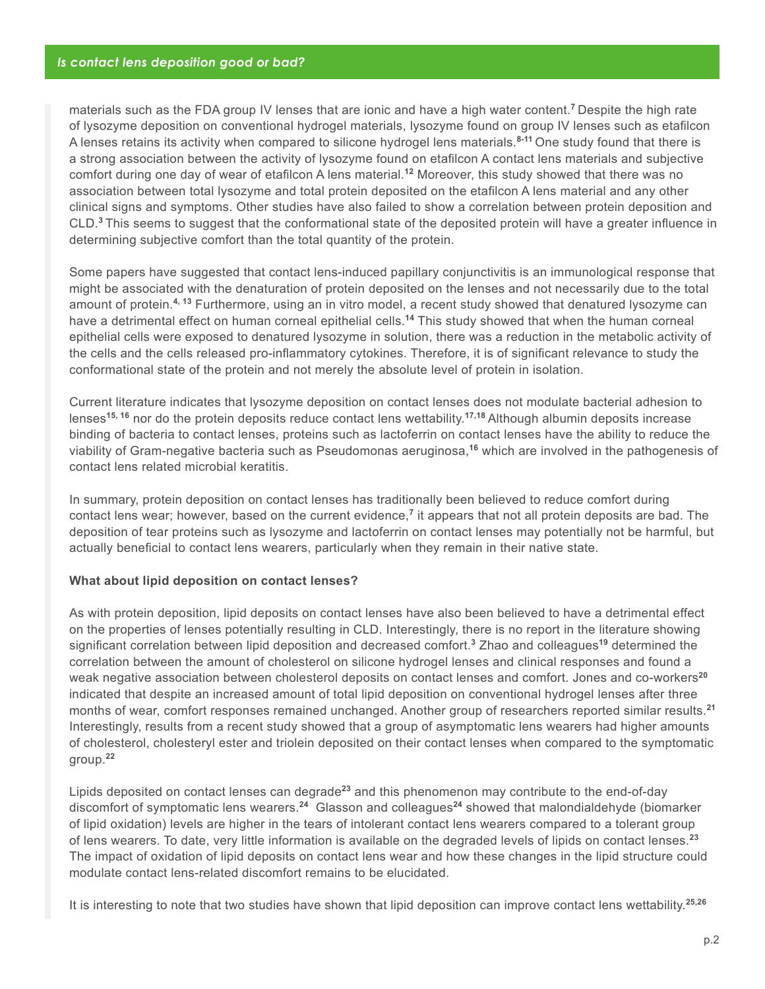materials such as the FDA group IV lenses that are ionic and have a high water content.**<sup>7</sup>**Despite the high rate of lysozyme deposition on conventional hydrogel materials, lysozyme found on group IV lenses such as etafilcon A lenses retains its activity when compared to silicone hydrogel lens materials.**8-11** One study found that there is a strong association between the activity of lysozyme found on etafilcon A contact lens materials and subjective comfort during one day of wear of etafilcon A lens material.**<sup>12</sup>** Moreover, this study showed that there was no association between total lysozyme and total protein deposited on the etafilcon A lens material and any other clinical signs and symptoms. Other studies have also failed to show a correlation between protein deposition and CLD.**<sup>3</sup>**This seems to suggest that the conformational state of the deposited protein will have a greater influence in determining subjective comfort than the total quantity of the protein.

Some papers have suggested that contact lens-induced papillary conjunctivitis is an immunological response that might be associated with the denaturation of protein deposited on the lenses and not necessarily due to the total amount of protein.**4, 13** Furthermore, using an in vitro model, a recent study showed that denatured lysozyme can have a detrimental effect on human corneal epithelial cells.**<sup>14</sup>** This study showed that when the human corneal epithelial cells were exposed to denatured lysozyme in solution, there was a reduction in the metabolic activity of the cells and the cells released pro-inflammatory cytokines. Therefore, it is of significant relevance to study the conformational state of the protein and not merely the absolute level of protein in isolation.

Current literature indicates that lysozyme deposition on contact lenses does not modulate bacterial adhesion to lenses**15, 16** nor do the protein deposits reduce contact lens wettability.**17,18** Although albumin deposits increase binding of bacteria to contact lenses, proteins such as lactoferrin on contact lenses have the ability to reduce the viability of Gram-negative bacteria such as Pseudomonas aeruginosa,**<sup>16</sup>** which are involved in the pathogenesis of contact lens related microbial keratitis.

In summary, protein deposition on contact lenses has traditionally been believed to reduce comfort during contact lens wear; however, based on the current evidence,**<sup>7</sup>** it appears that not all protein deposits are bad. The deposition of tear proteins such as lysozyme and lactoferrin on contact lenses may potentially not be harmful, but actually beneficial to contact lens wearers, particularly when they remain in their native state.

#### **What about lipid deposition on contact lenses?**

As with protein deposition, lipid deposits on contact lenses have also been believed to have a detrimental effect on the properties of lenses potentially resulting in CLD. Interestingly, there is no report in the literature showing significant correlation between lipid deposition and decreased comfort.**<sup>3</sup>** Zhao and colleagues**<sup>19</sup>** determined the correlation between the amount of cholesterol on silicone hydrogel lenses and clinical responses and found a weak negative association between cholesterol deposits on contact lenses and comfort. Jones and co-workers**<sup>20</sup>** indicated that despite an increased amount of total lipid deposition on conventional hydrogel lenses after three months of wear, comfort responses remained unchanged. Another group of researchers reported similar results.**<sup>21</sup>** Interestingly, results from a recent study showed that a group of asymptomatic lens wearers had higher amounts of cholesterol, cholesteryl ester and triolein deposited on their contact lenses when compared to the symptomatic group.**<sup>22</sup>**

Lipids deposited on contact lenses can degrade**<sup>23</sup>** and this phenomenon may contribute to the end-of-day discomfort of symptomatic lens wearers.**<sup>24</sup>** Glasson and colleagues**<sup>24</sup>** showed that malondialdehyde (biomarker of lipid oxidation) levels are higher in the tears of intolerant contact lens wearers compared to a tolerant group of lens wearers. To date, very little information is available on the degraded levels of lipids on contact lenses.**<sup>23</sup>** The impact of oxidation of lipid deposits on contact lens wear and how these changes in the lipid structure could modulate contact lens-related discomfort remains to be elucidated.

It is interesting to note that two studies have shown that lipid deposition can improve contact lens wettability.**25,26**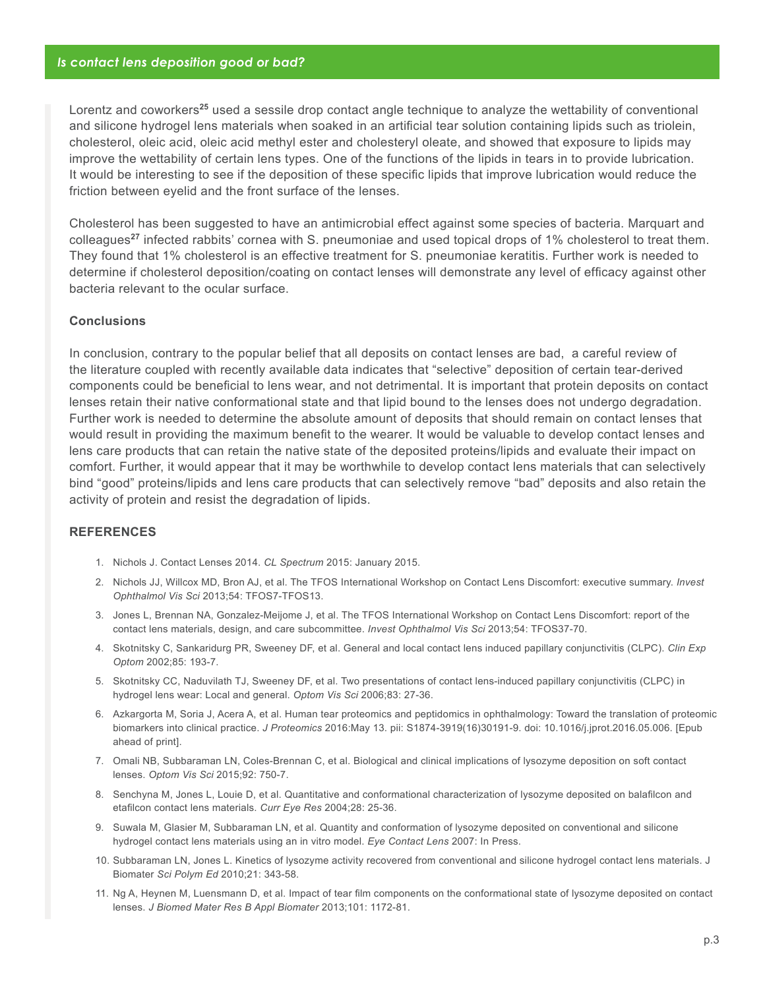Lorentz and coworkers**<sup>25</sup>** used a sessile drop contact angle technique to analyze the wettability of conventional and silicone hydrogel lens materials when soaked in an artificial tear solution containing lipids such as triolein, cholesterol, oleic acid, oleic acid methyl ester and cholesteryl oleate, and showed that exposure to lipids may improve the wettability of certain lens types. One of the functions of the lipids in tears in to provide lubrication. It would be interesting to see if the deposition of these specific lipids that improve lubrication would reduce the friction between eyelid and the front surface of the lenses.

Cholesterol has been suggested to have an antimicrobial effect against some species of bacteria. Marquart and colleagues**<sup>27</sup>** infected rabbits' cornea with S. pneumoniae and used topical drops of 1% cholesterol to treat them. They found that 1% cholesterol is an effective treatment for S. pneumoniae keratitis. Further work is needed to determine if cholesterol deposition/coating on contact lenses will demonstrate any level of efficacy against other bacteria relevant to the ocular surface.

#### **Conclusions**

In conclusion, contrary to the popular belief that all deposits on contact lenses are bad, a careful review of the literature coupled with recently available data indicates that "selective" deposition of certain tear-derived components could be beneficial to lens wear, and not detrimental. It is important that protein deposits on contact lenses retain their native conformational state and that lipid bound to the lenses does not undergo degradation. Further work is needed to determine the absolute amount of deposits that should remain on contact lenses that would result in providing the maximum benefit to the wearer. It would be valuable to develop contact lenses and lens care products that can retain the native state of the deposited proteins/lipids and evaluate their impact on comfort. Further, it would appear that it may be worthwhile to develop contact lens materials that can selectively bind "good" proteins/lipids and lens care products that can selectively remove "bad" deposits and also retain the activity of protein and resist the degradation of lipids.

#### **REFERENCES**

- 1. Nichols J. Contact Lenses 2014. *CL Spectrum* 2015: January 2015.
- 2. Nichols JJ, Willcox MD, Bron AJ, et al. The TFOS International Workshop on Contact Lens Discomfort: executive summary. *Invest Ophthalmol Vis Sci* 2013;54: TFOS7-TFOS13.
- 3. Jones L, Brennan NA, Gonzalez-Meijome J, et al. The TFOS International Workshop on Contact Lens Discomfort: report of the contact lens materials, design, and care subcommittee. *Invest Ophthalmol Vis Sci* 2013;54: TFOS37-70.
- 4. Skotnitsky C, Sankaridurg PR, Sweeney DF, et al. General and local contact lens induced papillary conjunctivitis (CLPC). *Clin Exp Optom* 2002;85: 193-7.
- 5. Skotnitsky CC, Naduvilath TJ, Sweeney DF, et al. Two presentations of contact lens-induced papillary conjunctivitis (CLPC) in hydrogel lens wear: Local and general. *Optom Vis Sci* 2006;83: 27-36.
- 6. Azkargorta M, Soria J, Acera A, et al. Human tear proteomics and peptidomics in ophthalmology: Toward the translation of proteomic biomarkers into clinical practice. *J Proteomics* 2016:May 13. pii: S1874-3919(16)30191-9. doi: 10.1016/j.jprot.2016.05.006. [Epub ahead of print].
- 7. Omali NB, Subbaraman LN, Coles-Brennan C, et al. Biological and clinical implications of lysozyme deposition on soft contact lenses. *Optom Vis Sci* 2015;92: 750-7.
- 8. Senchyna M, Jones L, Louie D, et al. Quantitative and conformational characterization of lysozyme deposited on balafilcon and etafilcon contact lens materials. *Curr Eye Res* 2004;28: 25-36.
- 9. Suwala M, Glasier M, Subbaraman LN, et al. Quantity and conformation of lysozyme deposited on conventional and silicone hydrogel contact lens materials using an in vitro model. *Eye Contact Lens* 2007: In Press.
- 10. Subbaraman LN, Jones L. Kinetics of lysozyme activity recovered from conventional and silicone hydrogel contact lens materials. J Biomater *Sci Polym Ed* 2010;21: 343-58.
- 11. Ng A, Heynen M, Luensmann D, et al. Impact of tear film components on the conformational state of lysozyme deposited on contact lenses. *J Biomed Mater Res B Appl Biomater* 2013;101: 1172-81.